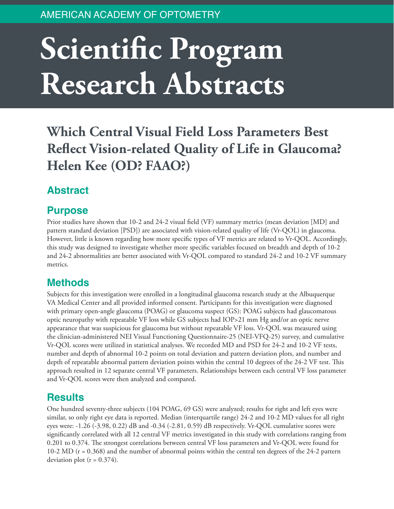# **Scientific Program Research Abstracts**

**Which Central Visual Field Loss Parameters Best Reflect Vision-related Quality of Life in Glaucoma? Helen Kee (OD? FAAO?)**

# **Abstract**

#### **Purpose**

Prior studies have shown that 10-2 and 24-2 visual field (VF) summary metrics (mean deviation [MD] and pattern standard deviation [PSD]) are associated with vision-related quality of life (Vr-QOL) in glaucoma. However, little is known regarding how more specific types of VF metrics are related to Vr-QOL. Accordingly, this study was designed to investigate whether more specific variables focused on breadth and depth of 10-2 and 24-2 abnormalities are better associated with Vr-QOL compared to standard 24-2 and 10-2 VF summary metrics.

## **Methods**

Subjects for this investigation were enrolled in a longitudinal glaucoma research study at the Albuquerque VA Medical Center and all provided informed consent. Participants for this investigation were diagnosed with primary open-angle glaucoma (POAG) or glaucoma suspect (GS): POAG subjects had glaucomatous optic neuropathy with repeatable VF loss while GS subjects had IOP>21 mm Hg and/or an optic nerve appearance that was suspicious for glaucoma but without repeatable VF loss. Vr-QOL was measured using the clinician-administered NEI Visual Functioning Questionnaire-25 (NEI-VFQ-25) survey, and cumulative Vr-QOL scores were utilized in statistical analyses. We recorded MD and PSD for 24-2 and 10-2 VF tests, number and depth of abnormal 10-2 points on total deviation and pattern deviation plots, and number and depth of repeatable abnormal pattern deviation points within the central 10 degrees of the 24-2 VF test. This approach resulted in 12 separate central VF parameters. Relationships between each central VF loss parameter and Vr-QOL scores were then analyzed and compared.

## **Results**

One hundred seventy-three subjects (104 POAG, 69 GS) were analyzed; results for right and left eyes were similar, so only right eye data is reported. Median (interquartile range) 24-2 and 10-2 MD values for all right eyes were: -1.26 (-3.98, 0.22) dB and -0.34 (-2.81, 0.59) dB respectively. Vr-QOL cumulative scores were significantly correlated with all 12 central VF metrics investigated in this study with correlations ranging from 0.201 to 0.374. The strongest correlations between central VF loss parameters and Vr-QOL were found for 10-2 MD (r = 0.368) and the number of abnormal points within the central ten degrees of the 24-2 pattern deviation plot ( $r = 0.374$ ).